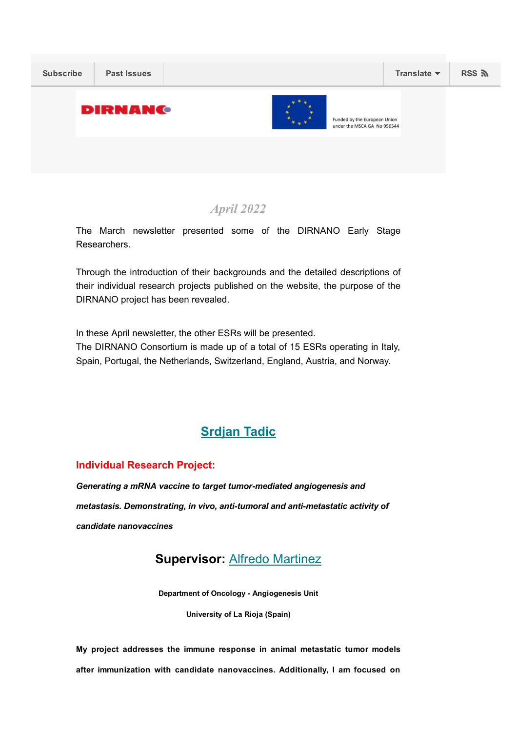

# April 2022

The March newsletter presented some of the DIRNANO Early Stage Researchers.

Through the introduction of their backgrounds and the detailed descriptions of their individual research projects published on the website, the purpose of the DIRNANO project has been revealed.

In these April newsletter, the other ESRs will be presented.

The DIRNANO Consortium is made up of a total of 15 ESRs operating in Italy, Spain, Portugal, the Netherlands, Switzerland, England, Austria, and Norway.

# [Srdjan](https://dirnano.com/wp-content/uploads/2021/11/CV-ESR-Srdjan-Tadic_compressed.pdf) Tadic

#### Individual Research Project:

*Generating a mRNA vaccine to target tumormediated angiogenesis and metastasis. Demonstrating, in vivo, antitumoral and antimetastatic activity of candidate nanovaccines*

# Supervisor: Alfredo [Martinez](https://publons.com/researcher/2681090/alfredo-martinez/)

Department of Oncology - Angiogenesis Unit

University of La Rioja (Spain)

My project addresses the immune response in animal metastatic tumor models after immunization with candidate nanovaccines. Additionally, I am focused on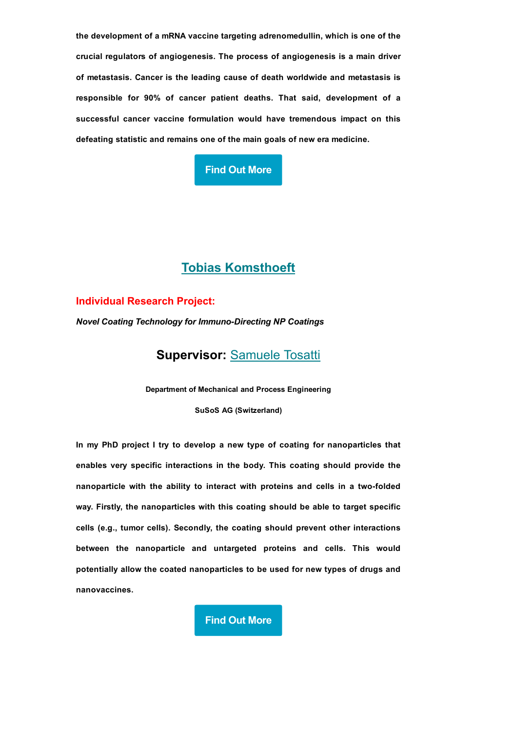the development of a mRNA vaccine targeting adrenomedullin, which is one of the crucial regulators of angiogenesis. The process of angiogenesis is a main driver of metastasis. Cancer is the leading cause of death worldwide and metastasis is responsible for 90% of cancer patient deaths. That said, development of a successful cancer vaccine formulation would have tremendous impact on this defeating statistic and remains one of the main goals of new era medicine.

# Find Out [More](http://dirnano.com/individual-research-project-generating-a-mrna-vaccine-to-target-tumor-mediated-angiogenesis-and-metastasis/)

# Tobias [Komsthoeft](https://dirnano.com/wp-content/uploads/2021/11/CV-ESR-Tobias-Komsthoeft.pdf)

#### Individual Research Project:

*Novel Coating Technology for Immuno-Directing NP Coatings* 

Supervisor: [Samuele](https://dirnano.com/wp-content/uploads/2021/11/CV-Scientist-in-charge-Samuele-Tosatti.pdf) Tosatti

Department of Mechanical and Process Engineering

SuSoS AG (Switzerland)

In my PhD project I try to develop a new type of coating for nanoparticles that enables very specific interactions in the body. This coating should provide the nanoparticle with the ability to interact with proteins and cells in a two-folded way. Firstly, the nanoparticles with this coating should be able to target specific cells (e.g., tumor cells). Secondly, the coating should prevent other interactions between the nanoparticle and untargeted proteins and cells. This would potentially allow the coated nanoparticles to be used for new types of drugs and nanovaccines.

Find Out [More](http://dirnano.com/individual-research-project-novel-coating-technology-for-immuno-directing-np-coatings/)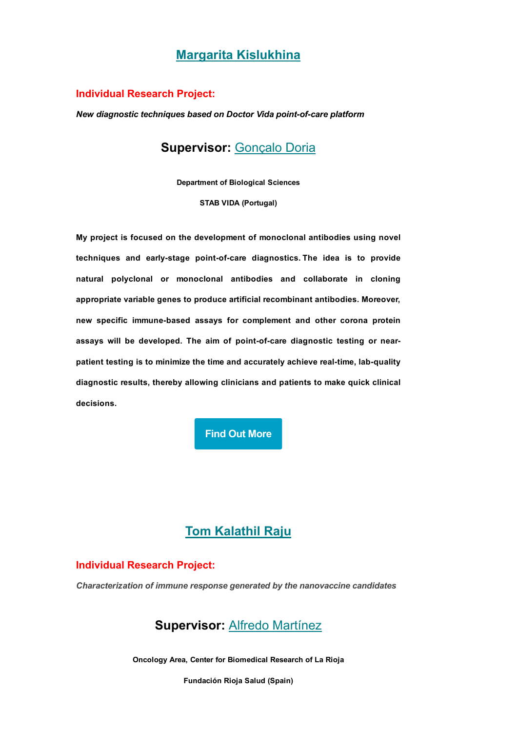# Margarita [Kislukhina](https://docs.google.com/document/d/1EC3twuEPc9yy-Ri_V7mYy7I-XT9ut75Fj0Oadj_dO74/edit)

#### Individual Research Project:

*New diagnostic techniques based on Doctor Vida point-of-care platform* 

# Supervisor: [Gonçalo](https://www.linkedin.com/in/goncalodoria/) Doria

Department of Biological Sciences

STAB VIDA (Portugal)

My project is focused on the development of monoclonal antibodies using novel techniques and early-stage point-of-care diagnostics. The idea is to provide natural polyclonal or monoclonal antibodies and collaborate in cloning appropriate variable genes to produce artificial recombinant antibodies. Moreover, new specific immune-based assays for complement and other corona protein assays will be developed. The aim of point-of-care diagnostic testing or nearpatient testing is to minimize the time and accurately achieve real-time, lab-quality diagnostic results, thereby allowing clinicians and patients to make quick clinical decisions.

## Find Out [More](https://dirnano.com/individual-research-project-new-diagnostic-techniques-based-on-doctor-vida-point-of-care-platform/)

# Tom [Kalathil](https://www.linkedin.com/in/tom-kalathil-raju-448614132/) Raju

#### Individual Research Project:

*Characterization of immune response generated by the nanovaccine candidates*

# Supervisor: Alfredo [Martínez](https://publons.com/researcher/2681090/alfredo-martinez/)

Oncology Area, Center for Biomedical Research of La Rioja

Fundación Rioja Salud (Spain)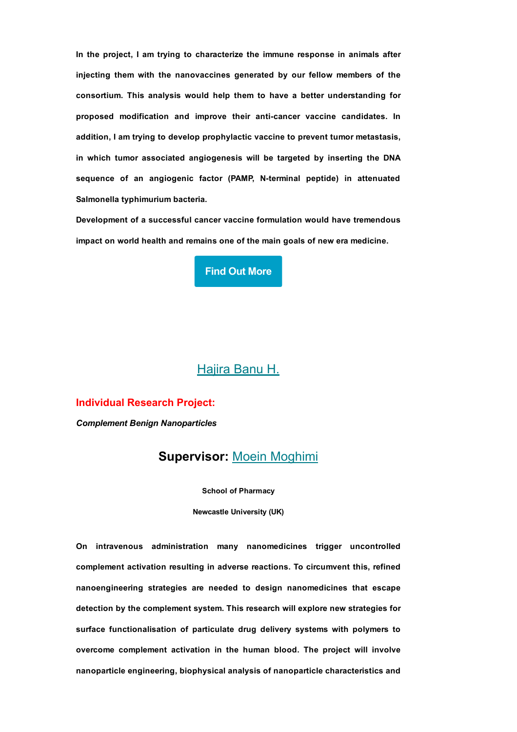In the project, I am trying to characterize the immune response in animals after injecting them with the nanovaccines generated by our fellow members of the consortium. This analysis would help them to have a better understanding for proposed modification and improve their anti-cancer vaccine candidates. In addition, I am trying to develop prophylactic vaccine to prevent tumor metastasis, in which tumor associated angiogenesis will be targeted by inserting the DNA sequence of an angiogenic factor (PAMP, N-terminal peptide) in attenuated Salmonella typhimurium bacteria.

Development of a successful cancer vaccine formulation would have tremendous impact on world health and remains one of the main goals of new era medicine.



## [Hajira](https://dirnano.com/wp-content/uploads/2021/11/CV-ESR-Hajira-Banu-H.pdf) Banu H.

#### Individual Research Project:

*Complement Benign Nanoparticles*

## Supervisor: Moein [Moghimi](https://www.ncl.ac.uk/pharmacy/people/profile/seyedmoghimi.html)

School of Pharmacy

Newcastle University (UK)

On intravenous administration many nanomedicines trigger uncontrolled complement activation resulting in adverse reactions. To circumvent this, refined nanoengineering strategies are needed to design nanomedicines that escape detection by the complement system. This research will explore new strategies for surface functionalisation of particulate drug delivery systems with polymers to overcome complement activation in the human blood. The project will involve nanoparticle engineering, biophysical analysis of nanoparticle characteristics and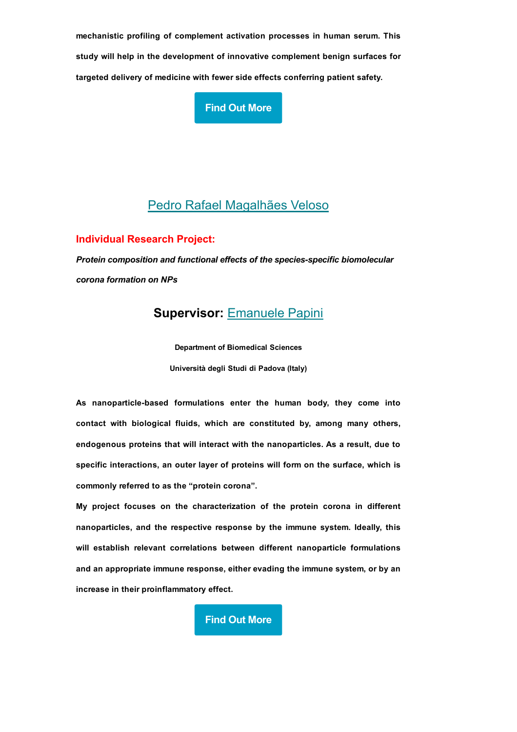mechanistic profiling of complement activation processes in human serum. This study will help in the development of innovative complement benign surfaces for targeted delivery of medicine with fewer side effects conferring patient safety.

Find Out [More](https://dirnano.com/individual-research-project-complement-benign-nanoparticles/)

# Pedro Rafael [Magalhães](https://dirnano.com/wp-content/uploads/2022/02/Pedro-CV.pdf) Veloso

Individual Research Project:

*Protein composition and functional effects of the speciesspecific biomolecular corona formation on NPs*

# Supervisor: [Emanuele](https://dirnano.com/wp-content/uploads/2021/11/CV-Scientist-in-charge-Emanuele-Papini.pdf) Papini

Department of Biomedical Sciences Università degli Studi di Padova (Italy)

As nanoparticle-based formulations enter the human body, they come into contact with biological fluids, which are constituted by, among many others, endogenous proteins that will interact with the nanoparticles. As a result, due to specific interactions, an outer layer of proteins will form on the surface, which is commonly referred to as the "protein corona".

My project focuses on the characterization of the protein corona in different nanoparticles, and the respective response by the immune system. Ideally, this will establish relevant correlations between different nanoparticle formulations and an appropriate immune response, either evading the immune system, or by an increase in their proinflammatory effect.

Find Out [More](https://dirnano.com/individual-research-project-protein-composition-and-functional-effects-of-the-species-specific-biomolecular-corona-formation-on-nps/)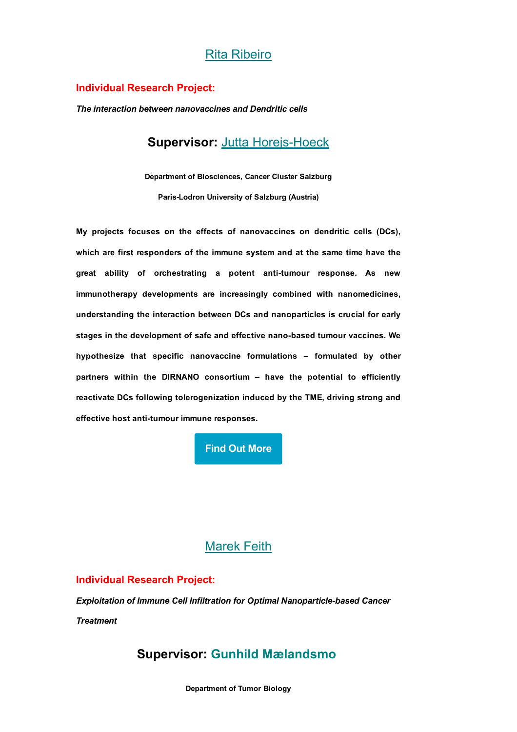## Rita [Ribeiro](https://dirnano.com/wp-content/uploads/2022/02/Ribeiro_cv-2.pdf)

#### Individual Research Project:

*The interaction between nanovaccines and Dendritic cells*

# Supervisor: Jutta Horejs-Hoeck

Department of Biosciences, Cancer Cluster Salzburg ParisLodron University of Salzburg (Austria)

My projects focuses on the effects of nanovaccines on dendritic cells (DCs), which are first responders of the immune system and at the same time have the great ability of orchestrating a potent anti-tumour response. As new immunotherapy developments are increasingly combined with nanomedicines, understanding the interaction between DCs and nanoparticles is crucial for early stages in the development of safe and effective nano-based tumour vaccines. We hypothesize that specific nanovaccine formulations – formulated by other partners within the DIRNANO consortium – have the potential to efficiently reactivate DCs following tolerogenization induced by the TME, driving strong and effective host anti-tumour immune responses.

Find Out [More](https://dirnano.com/individual-research-project-nanovaccines-a-promising-new-therapy-to-boost-anti-tumour-activity-of-dendritic-cells/)

## [Marek](https://dirnano.com/wp-content/uploads/2021/11/CV-ESR-Marek-Feith.pdf) Feith

#### Individual Research Project:

*Exploitation of Immune Cell Infiltration for Optimal Nanoparticlebased Cancer*

*Treatment*

# Supervisor: Gunhild Mælandsmo

Department of Tumor Biology